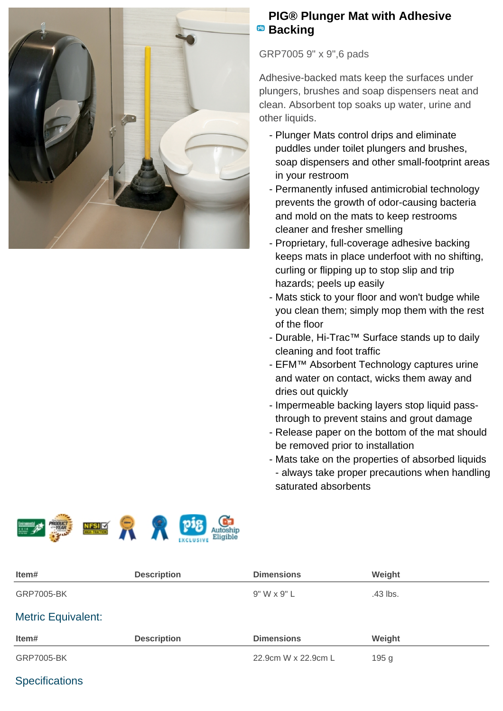

## **PIG® Plunger Mat with Adhesive Backing**

GRP7005 9" x 9",6 pads

Adhesive-backed mats keep the surfaces under plungers, brushes and soap dispensers neat and clean. Absorbent top soaks up water, urine and other liquids.

- Plunger Mats control drips and eliminate puddles under toilet plungers and brushes, soap dispensers and other small-footprint areas in your restroom
- Permanently infused antimicrobial technology prevents the growth of odor-causing bacteria and mold on the mats to keep restrooms cleaner and fresher smelling
- Proprietary, full-coverage adhesive backing keeps mats in place underfoot with no shifting, curling or flipping up to stop slip and trip hazards; peels up easily
- Mats stick to your floor and won't budge while you clean them; simply mop them with the rest of the floor
- Durable, Hi-Trac™ Surface stands up to daily cleaning and foot traffic
- EFM™ Absorbent Technology captures urine and water on contact, wicks them away and dries out quickly
- Impermeable backing layers stop liquid passthrough to prevent stains and grout damage
- Release paper on the bottom of the mat should be removed prior to installation
- Mats take on the properties of absorbed liquids - always take proper precautions when handling saturated absorbents



| Item#                     | <b>Description</b> | <b>Dimensions</b>   | Weight           |
|---------------------------|--------------------|---------------------|------------------|
| <b>GRP7005-BK</b>         |                    | $9"$ W x $9"$ L     | .43 lbs.         |
| <b>Metric Equivalent:</b> |                    |                     |                  |
| Item#                     | <b>Description</b> | <b>Dimensions</b>   | Weight           |
| <b>GRP7005-BK</b>         |                    | 22.9cm W x 22.9cm L | 195 <sub>g</sub> |

## **Specifications**